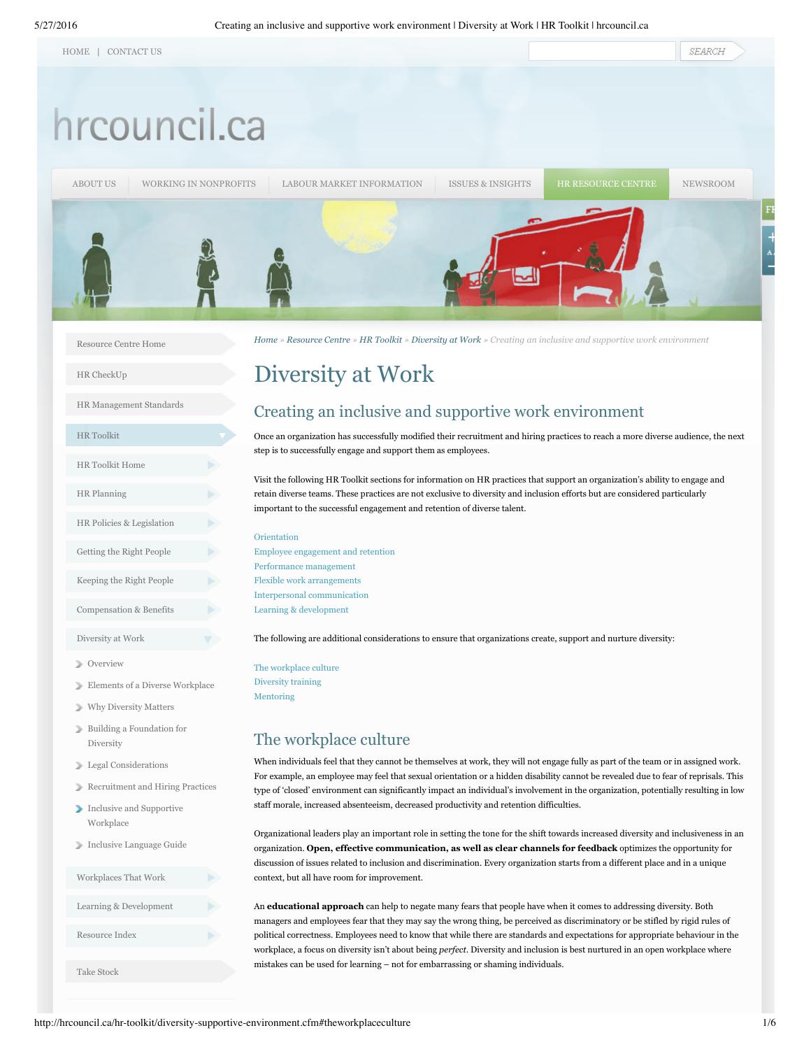|  | <b>HOME</b> | CONTACT US |
|--|-------------|------------|
|--|-------------|------------|

# hrcouncil.ca

[ABOUT](http://hrcouncil.ca/about/overview.cfm) US WORKING IN [NONPROFITS](http://hrcouncil.ca/about-the-sector/home.cfm) LABOUR MARKET [INFORMATION](http://hrcouncil.ca/labour/lmi-overview.cfm) ISSUES & [INSIGHTS](http://hrcouncil.ca/issues/issues-insights-overview.cfm) HR [RESOURCE](http://hrcouncil.ca/resource-centre/home.cfm) CENTRE [NEWSROOM](http://hrcouncil.ca/newsroom/overview.cfm)

[Resource](http://hrcouncil.ca/resource-centre/home.cfm) Centre Home

HR [CheckUp](http://checkup.hrcouncil.ca/)

HR [Management](http://hrcouncil.ca/resource-centre/hr-standards/home.cfm) Standards

| <b>HR</b> Toolkit         |  |
|---------------------------|--|
| HR Toolkit Home           |  |
| <b>HR</b> Planning        |  |
| HR Policies & Legislation |  |
| Getting the Right People  |  |
| Keeping the Right People  |  |
| Compensation & Benefits   |  |
| Diversity at Work         |  |

- [Overview](http://hrcouncil.ca/hr-toolkit/diversity-at-work.cfm)
- Elements of a Diverse [Workplace](http://hrcouncil.ca/hr-toolkit/diversity-workforce.cfm)
- Why [Diversity](http://hrcouncil.ca/hr-toolkit/diversity-workforce-matters.cfm) Matters
- Building a [Foundation](http://hrcouncil.ca/hr-toolkit/diversity-foundation.cfm) for Diversity
- Legal [Considerations](http://hrcouncil.ca/hr-toolkit/diversity-legal-considerations.cfm)
- [Recruitment](http://hrcouncil.ca/hr-toolkit/diversity-recruitment.cfm) and Hiring Practices
- Inclusive and [Supportive](http://hrcouncil.ca/hr-toolkit/diversity-supportive-environment.cfm) Workplace
- Inclusive [Language](http://hrcouncil.ca/hr-toolkit/diversity-language-guidelines.cfm) Guide



[Home](http://hrcouncil.ca/home.cfm) » [Resource](http://hrcouncil.ca/resource-centre/home.cfm) Centre » HR [Toolkit](http://hrcouncil.ca/hr-toolkit/home.cfm) » [Diversity](http://hrcouncil.ca/hr-toolkit/diversity-at-work.cfm) at Work » Creating an inclusive and supportive work environment

# <span id="page-0-1"></span>Diversity at Work

# Creating an inclusive and supportive work environment

Once an organization has successfully modified their recruitment and hiring practices to reach a more diverse audience, the next step is to successfully engage and support them as employees.

Visit the following HR Toolkit sections for information on HR practices that support an organization's ability to engage and retain diverse teams. These practices are not exclusive to diversity and inclusion efforts but are considered particularly important to the successful engagement and retention of diverse talent.

#### [Orientation](http://www.hrcouncil.ca/hr-toolkit/right-people-orientation.cfm)

Employee [engagement](http://www.hrcouncil.ca/hr-toolkit/keeping-people-employee-engagement.cfm) and retention Performance [management](http://www.hrcouncil.ca/hr-toolkit/keeping-people-performance-management.cfm) Flexible work [arrangements](http://www.hrcouncil.ca/hr-toolkit/workplaces-flexible.cfm) Interpersonal [communication](http://www.hrcouncil.ca/hr-toolkit/workplaces-interpersonal.cfm) Learning & [development](http://www.hrcouncil.ca/hr-toolkit/learning-overview.cfm)

The following are additional considerations to ensure that organizations create, support and nurture diversity:

The [workplace](#page-0-0) culture [Diversity](#page-0-0) training [Mentoring](#page-3-0)

# <span id="page-0-0"></span>The workplace culture

When individuals feel that they cannot be themselves at work, they will not engage fully as part of the team or in assigned work. For example, an employee may feel that sexual orientation or a hidden disability cannot be revealed due to fear of reprisals. This type of 'closed' environment can significantly impact an individual's involvement in the organization, potentially resulting in low staff morale, increased absenteeism, decreased productivity and retention difficulties.

Organizational leaders play an important role in setting the tone for the shift towards increased diversity and inclusiveness in an organization. **Open, effective communication, as well as clear channels for feedback** optimizes the opportunity for discussion of issues related to inclusion and discrimination. Every organization starts from a different place and in a unique context, but all have room for improvement.

An **educational approach** can help to negate many fears that people have when it comes to addressing diversity. Both managers and employees fear that they may say the wrong thing, be perceived as discriminatory or be stifled by rigid rules of political correctness. Employees need to know that while there are standards and expectations for appropriate behaviour in the workplace, a focus on diversity isn't about being *perfect*. Diversity and inclusion is best nurtured in an open workplace where mistakes can be used for learning – not for embarrassing or shaming individuals.

SEARCH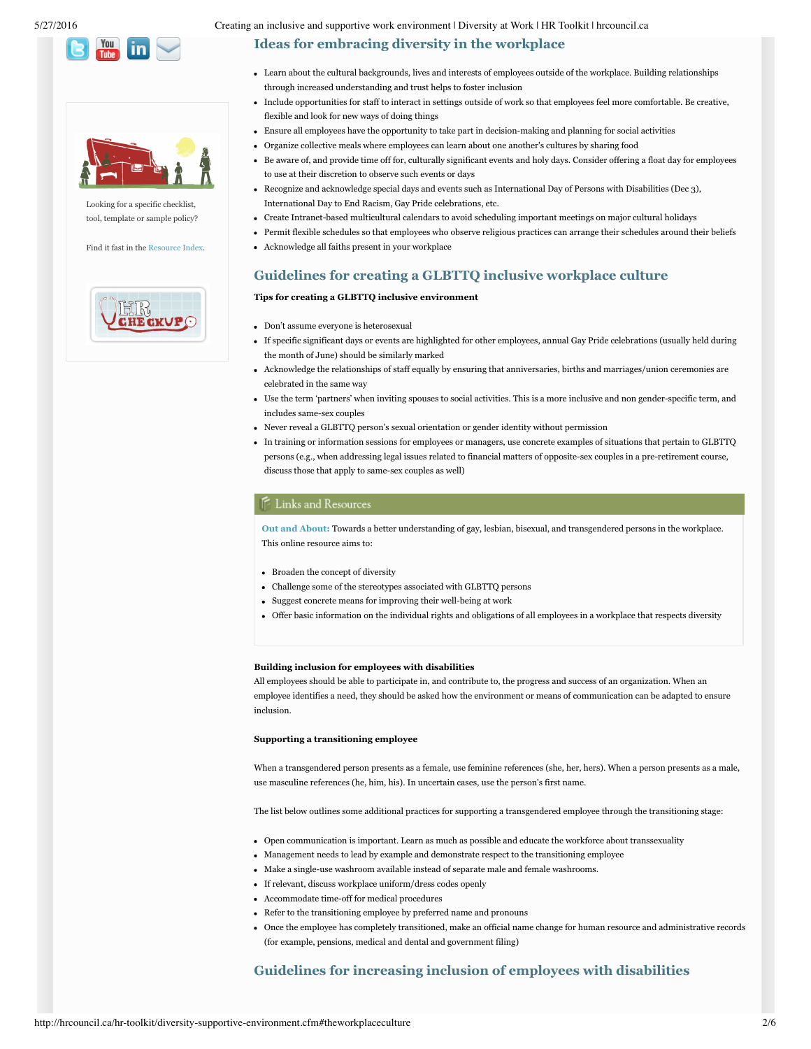



Looking for a specific checklist, tool, template or sample policy?

Find it fast in the [Resource](http://hrcouncil.ca/hr-toolkit/resources-resources.cfm) Index.



# **Ideas for embracing diversity in the workplace**

- Learn about the cultural backgrounds, lives and interests of employees outside of the workplace. Building relationships through increased understanding and trust helps to foster inclusion
- Include opportunities for staff to interact in settings outside of work so that employees feel more comfortable. Be creative, flexible and look for new ways of doing things
- Ensure all employees have the opportunity to take part in decision-making and planning for social activities
- Organize collective meals where employees can learn about one another's cultures by sharing food
- Be aware of, and provide time off for, culturally significant events and holy days. Consider offering a float day for employees to use at their discretion to observe such events or days
- Recognize and acknowledge special days and events such as International Day of Persons with Disabilities (Dec 3), International Day to End Racism, Gay Pride celebrations, etc.
- Create Intranet-based multicultural calendars to avoid scheduling important meetings on major cultural holidays
- Permit flexible schedules so that employees who observe religious practices can arrange their schedules around their beliefs
- Acknowledge all faiths present in your workplace

# **Guidelines for creating a GLBTTQ inclusive workplace culture**

## **Tips for creating a GLBTTQ inclusive environment**

- Don't assume everyone is heterosexual
- If specific significant days or events are highlighted for other employees, annual Gay Pride celebrations (usually held during the month of June) should be similarly marked
- Acknowledge the relationships of staff equally by ensuring that anniversaries, births and marriages/union ceremonies are celebrated in the same way
- Use the term 'partners' when inviting spouses to social activities. This is a more inclusive and non gender-specific term, and includes same-sex couples
- Never reveal a GLBTTQ person's sexual orientation or gender identity without permission
- In training or information sessions for employees or managers, use concrete examples of situations that pertain to GLBTTQ persons (e.g., when addressing legal issues related to financial matters of opposite-sex couples in a pre-retirement course, discuss those that apply to same-sex couples as well)

## E Links and Resources

**Out and [About:](http://hrcouncil.ca/hr-toolkit/documents/CH37-4-9-2005E.pdf)** Towards a better understanding of gay, lesbian, bisexual, and transgendered persons in the workplace. This online resource aims to:

- Broaden the concept of diversity
- Challenge some of the stereotypes associated with GLBTTQ persons
- Suggest concrete means for improving their well-being at work
- Offer basic information on the individual rights and obligations of all employees in a workplace that respects diversity

#### **Building inclusion for employees with disabilities**

All employees should be able to participate in, and contribute to, the progress and success of an organization. When an employee identifies a need, they should be asked how the environment or means of communication can be adapted to ensure inclusion.

#### **Supporting a transitioning employee**

When a transgendered person presents as a female, use feminine references (she, her, hers). When a person presents as a male, use masculine references (he, him, his). In uncertain cases, use the person's first name.

The list below outlines some additional practices for supporting a transgendered employee through the transitioning stage:

- Open communication is important. Learn as much as possible and educate the workforce about transsexuality
- Management needs to lead by example and demonstrate respect to the transitioning employee
- Make a single-use washroom available instead of separate male and female washrooms.
- If relevant, discuss workplace uniform/dress codes openly
- Accommodate time-off for medical procedures
- Refer to the transitioning employee by preferred name and pronouns
- Once the employee has completely transitioned, make an official name change for human resource and administrative records (for example, pensions, medical and dental and government filing)

# **Guidelines for increasing inclusion of employees with disabilities**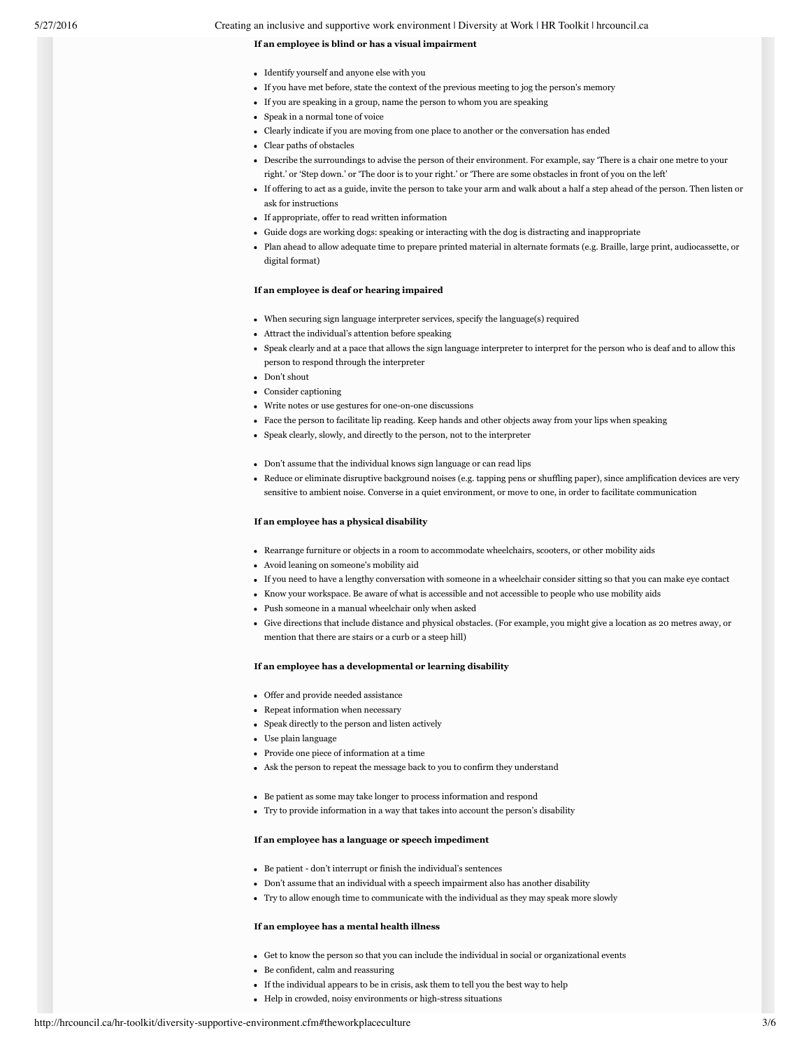5/27/2016 Creating an inclusive and supportive work environment | Diversity at Work | HR Toolkit | hrcouncil.ca

#### **If an employee is blind or has a visual impairment**

- Identify yourself and anyone else with you
- If you have met before, state the context of the previous meeting to jog the person's memory
- If you are speaking in a group, name the person to whom you are speaking
- Speak in a normal tone of voice
- Clearly indicate if you are moving from one place to another or the conversation has ended
- Clear paths of obstacles
- Describe the surroundings to advise the person of their environment. For example, say 'There is a chair one metre to your
- right.' or 'Step down.' or 'The door is to your right.' or 'There are some obstacles in front of you on the left'
- If offering to act as a guide, invite the person to take your arm and walk about a half a step ahead of the person. Then listen or ask for instructions
- If appropriate, offer to read written information
- Guide dogs are working dogs: speaking or interacting with the dog is distracting and inappropriate
- Plan ahead to allow adequate time to prepare printed material in alternate formats (e.g. Braille, large print, audiocassette, or digital format)

### **If an employee is deaf or hearing impaired**

- When securing sign language interpreter services, specify the language(s) required
- Attract the individual's attention before speaking
- Speak clearly and at a pace that allows the sign language interpreter to interpret for the person who is deaf and to allow this person to respond through the interpreter
- Don't shout
- Consider captioning
- Write notes or use gestures for one-on-one discussions
- Face the person to facilitate lip reading. Keep hands and other objects away from your lips when speaking
- Speak clearly, slowly, and directly to the person, not to the interpreter
- Don't assume that the individual knows sign language or can read lips
- Reduce or eliminate disruptive background noises (e.g. tapping pens or shuffling paper), since amplification devices are very sensitive to ambient noise. Converse in a quiet environment, or move to one, in order to facilitate communication

#### **If an employee has a physical disability**

- Rearrange furniture or objects in a room to accommodate wheelchairs, scooters, or other mobility aids
- Avoid leaning on someone's mobility aid
- If you need to have a lengthy conversation with someone in a wheelchair consider sitting so that you can make eye contact
- Know your workspace. Be aware of what is accessible and not accessible to people who use mobility aids
- Push someone in a manual wheelchair only when asked
- Give directions that include distance and physical obstacles. (For example, you might give a location as 20 metres away, or mention that there are stairs or a curb or a steep hill)

#### **If an employee has a developmental or learning disability**

- Offer and provide needed assistance
- Repeat information when necessary
- Speak directly to the person and listen actively
- Use plain language
- Provide one piece of information at a time
- Ask the person to repeat the message back to you to confirm they understand
- Be patient as some may take longer to process information and respond
- Try to provide information in a way that takes into account the person's disability

#### **If an employee has a language or speech impediment**

- Be patient don't interrupt or finish the individual's sentences
- Don't assume that an individual with a speech impairment also has another disability
- Try to allow enough time to communicate with the individual as they may speak more slowly

#### **If an employee has a mental health illness**

- Get to know the person so that you can include the individual in social or organizational events
- Be confident, calm and reassuring
- If the individual appears to be in crisis, ask them to tell you the best way to help
- Help in crowded, noisy environments or high-stress situations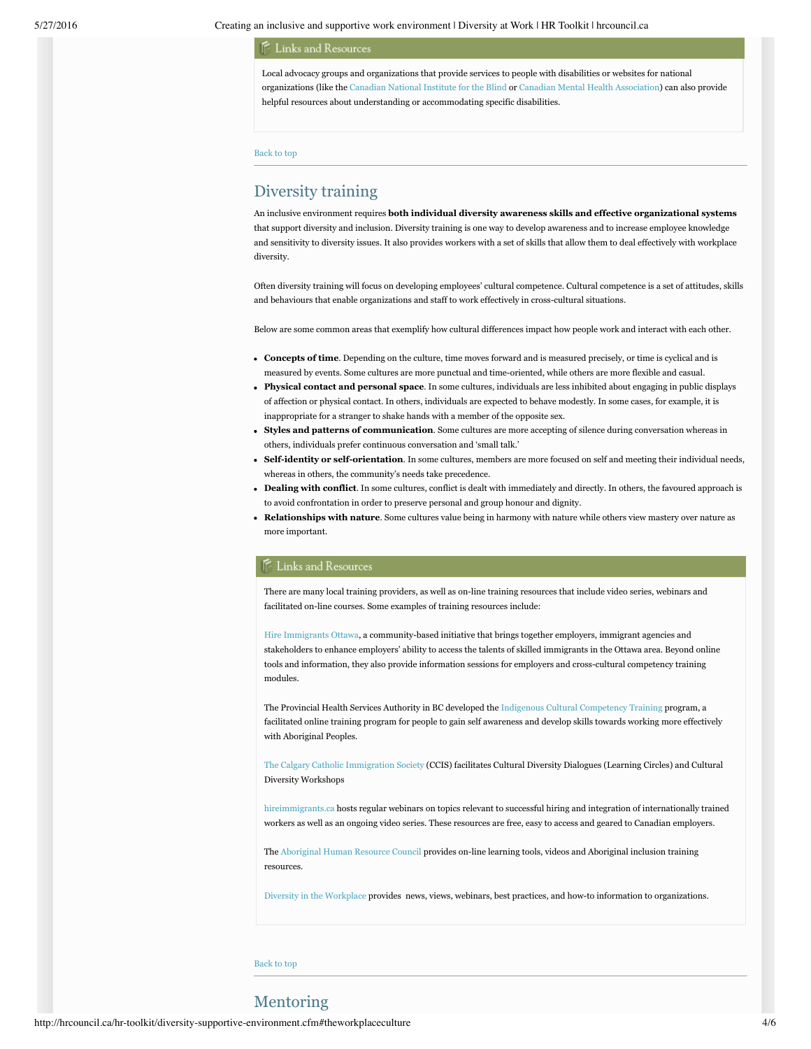5/27/2016 Creating an inclusive and supportive work environment | Diversity at Work | HR Toolkit | hrcouncil.ca

#### **E** Links and Resources

Local advocacy groups and organizations that provide services to people with disabilities or websites for national organizations (like the [Canadian](http://www.cnib.ca/en/) National Institute for the Blind or Canadian Mental Health [Association](http://www.cmhaottawa.ca/)) can also provide helpful resources about understanding or accommodating specific disabilities.

[Back](#page-0-1) to top

# Diversity training

An inclusive environment requires **both individual diversity awareness skills and effective organizational systems** that support diversity and inclusion. Diversity training is one way to develop awareness and to increase employee knowledge and sensitivity to diversity issues. It also provides workers with a set of skills that allow them to deal effectively with workplace diversity.

Often diversity training will focus on developing employees' cultural competence. Cultural competence is a set of attitudes, skills and behaviours that enable organizations and staff to work effectively in cross-cultural situations.

Below are some common areas that exemplify how cultural differences impact how people work and interact with each other.

- **Concepts of time**. Depending on the culture, time moves forward and is measured precisely, or time is cyclical and is measured by events. Some cultures are more punctual and time-oriented, while others are more flexible and casual.
- **Physical contact and personal space**. In some cultures, individuals are less inhibited about engaging in public displays of affection or physical contact. In others, individuals are expected to behave modestly. In some cases, for example, it is inappropriate for a stranger to shake hands with a member of the opposite sex.
- **Styles and patterns of communication**. Some cultures are more accepting of silence during conversation whereas in others, individuals prefer continuous conversation and 'small talk.'
- Self-identity or self-orientation. In some cultures, members are more focused on self and meeting their individual needs, whereas in others, the community's needs take precedence.
- **Dealing with conflict**. In some cultures, conflict is dealt with immediately and directly. In others, the favoured approach is to avoid confrontation in order to preserve personal and group honour and dignity.
- **Relationships with nature**. Some cultures value being in harmony with nature while others view mastery over nature as more important.

## Links and Resources

There are many local training providers, as well as on-line training resources that include video series, webinars and facilitated on-line courses. Some examples of training resources include:

Hire [Immigrants](http://www.hireimmigrantsottawa.ca/English/For%20Employers/tools-resources.php) Ottawa, a community-based initiative that brings together employers, immigrant agencies and stakeholders to enhance employers' ability to access the talents of skilled immigrants in the Ottawa area. Beyond online tools and information, they also provide information sessions for employers and cross-cultural competency training modules.

The Provincial Health Services Authority in BC developed the Indigenous Cultural [Competency](http://www.culturalcompetency.ca/) Training program, a facilitated online training program for people to gain self awareness and develop skills towards working more effectively with Aboriginal Peoples.

The Calgary Catholic [Immigration](http://www.ccis-calgary.ab.ca/index.php?option=com_content&view=article&id=172&catid=10&Itemid=43) Society (CCIS) facilitates Cultural Diversity Dialogues (Learning Circles) and Cultural Diversity Workshops

[hireimmigrants.ca](http://www.hireimmigrants.ca/resources-tools/videos/) hosts regular webinars on topics relevant to successful hiring and integration of internationally trained workers as well as an ongoing video series. These resources are free, easy to access and geared to Canadian employers.

The [Aboriginal](http://www.aboriginalhr.ca/en/home) Human Resource Council provides on-line learning tools, videos and Aboriginal inclusion training resources.

Diversity in the [Workplace](http://www.diversityintheworkplace.ca/diversity_webinar_series.php) provides news, views, webinars, best practices, and how-to information to organizations.

<span id="page-3-0"></span>[Back](#page-0-1) to top

# Mentoring